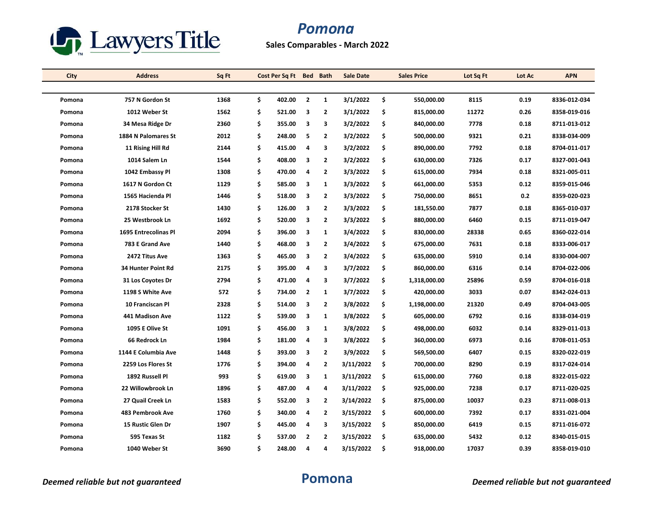

## *Pomona*

**Sales Comparables - March 2022**

| City   | <b>Address</b>          | Sq Ft | Cost Per Sq Ft Bed Bath |                |                | <b>Sale Date</b> | <b>Sales Price</b> | Lot Sq Ft | Lot Ac | <b>APN</b>   |
|--------|-------------------------|-------|-------------------------|----------------|----------------|------------------|--------------------|-----------|--------|--------------|
|        |                         |       |                         |                |                |                  |                    |           |        |              |
| Pomona | 757 N Gordon St         | 1368  | \$<br>402.00            | $\overline{2}$ | $\mathbf{1}$   | 3/1/2022         | \$<br>550.000.00   | 8115      | 0.19   | 8336-012-034 |
| Pomona | 1012 Weber St           | 1562  | \$<br>521.00            | 3              | $\overline{2}$ | 3/1/2022         | \$<br>815,000.00   | 11272     | 0.26   | 8358-019-016 |
| Pomona | 34 Mesa Ridge Dr        | 2360  | \$<br>355.00            | 3              | 3              | 3/2/2022         | \$<br>840,000.00   | 7778      | 0.18   | 8711-013-012 |
| Pomona | 1884 N Palomares St     | 2012  | \$<br>248.00            | 5              | $\overline{2}$ | 3/2/2022         | \$<br>500,000.00   | 9321      | 0.21   | 8338-034-009 |
| Pomona | 11 Rising Hill Rd       | 2144  | \$<br>415.00            | 4              | 3              | 3/2/2022         | \$<br>890,000.00   | 7792      | 0.18   | 8704-011-017 |
| Pomona | 1014 Salem Ln           | 1544  | \$<br>408.00            | 3              | $\overline{2}$ | 3/2/2022         | \$<br>630,000.00   | 7326      | 0.17   | 8327-001-043 |
| Pomona | 1042 Embassy Pl         | 1308  | \$<br>470.00            | 4              | $\overline{2}$ | 3/3/2022         | \$<br>615,000.00   | 7934      | 0.18   | 8321-005-011 |
| Pomona | 1617 N Gordon Ct        | 1129  | \$<br>585.00            | 3              | 1              | 3/3/2022         | \$<br>661,000.00   | 5353      | 0.12   | 8359-015-046 |
| Pomona | 1565 Hacienda Pl        | 1446  | \$<br>518.00            | 3              | $\overline{2}$ | 3/3/2022         | \$<br>750,000.00   | 8651      | 0.2    | 8359-020-023 |
| Pomona | 2178 Stocker St         | 1430  | \$<br>126.00            | 3              | $\overline{2}$ | 3/3/2022         | \$<br>181,550.00   | 7877      | 0.18   | 8365-010-037 |
| Pomona | 25 Westbrook Ln         | 1692  | \$<br>520.00            | 3              | $\overline{2}$ | 3/3/2022         | \$<br>880,000.00   | 6460      | 0.15   | 8711-019-047 |
| Pomona | 1695 Entrecolinas Pl    | 2094  | \$<br>396.00            | 3              | $\mathbf{1}$   | 3/4/2022         | \$<br>830,000.00   | 28338     | 0.65   | 8360-022-014 |
| Pomona | 783 E Grand Ave         | 1440  | \$<br>468.00            | 3              | $\overline{2}$ | 3/4/2022         | \$<br>675,000.00   | 7631      | 0.18   | 8333-006-017 |
| Pomona | 2472 Titus Ave          | 1363  | \$<br>465.00            | 3              | $\overline{2}$ | 3/4/2022         | \$<br>635,000.00   | 5910      | 0.14   | 8330-004-007 |
| Pomona | 34 Hunter Point Rd      | 2175  | \$<br>395.00            | 4              | 3              | 3/7/2022         | \$<br>860,000.00   | 6316      | 0.14   | 8704-022-006 |
| Pomona | 31 Los Coyotes Dr       | 2794  | \$<br>471.00            | 4              | 3              | 3/7/2022         | \$<br>1,318,000.00 | 25896     | 0.59   | 8704-016-018 |
| Pomona | 1198 S White Ave        | 572   | \$<br>734.00            | $\overline{2}$ | 1              | 3/7/2022         | \$<br>420,000.00   | 3033      | 0.07   | 8342-024-013 |
| Pomona | <b>10 Franciscan Pl</b> | 2328  | \$<br>514.00            | 3              | $\overline{2}$ | 3/8/2022         | \$<br>1,198,000.00 | 21320     | 0.49   | 8704-043-005 |
| Pomona | 441 Madison Ave         | 1122  | \$<br>539.00            | 3              | 1              | 3/8/2022         | \$<br>605,000.00   | 6792      | 0.16   | 8338-034-019 |
| Pomona | 1095 E Olive St         | 1091  | \$<br>456.00            | 3              | 1              | 3/8/2022         | \$<br>498,000.00   | 6032      | 0.14   | 8329-011-013 |
| Pomona | 66 Redrock Ln           | 1984  | \$<br>181.00            | $\overline{a}$ | 3              | 3/8/2022         | \$<br>360,000.00   | 6973      | 0.16   | 8708-011-053 |
| Pomona | 1144 E Columbia Ave     | 1448  | \$<br>393.00            | 3              | $\overline{2}$ | 3/9/2022         | \$<br>569,500.00   | 6407      | 0.15   | 8320-022-019 |
| Pomona | 2259 Los Flores St      | 1776  | \$<br>394.00            | 4              | 2              | 3/11/2022        | \$<br>700,000.00   | 8290      | 0.19   | 8317-024-014 |
| Pomona | 1892 Russell Pl         | 993   | \$<br>619.00            | 3              | 1              | 3/11/2022        | \$<br>615,000.00   | 7760      | 0.18   | 8322-015-022 |
| Pomona | 22 Willowbrook Ln       | 1896  | \$<br>487.00            | 4              | 4              | 3/11/2022        | \$<br>925,000.00   | 7238      | 0.17   | 8711-020-025 |
| Pomona | 27 Quail Creek Ln       | 1583  | \$<br>552.00            | 3              | $\overline{2}$ | 3/14/2022        | \$<br>875,000.00   | 10037     | 0.23   | 8711-008-013 |
| Pomona | 483 Pembrook Ave        | 1760  | \$<br>340.00            | 4              | $\overline{2}$ | 3/15/2022        | \$<br>600,000.00   | 7392      | 0.17   | 8331-021-004 |
| Pomona | 15 Rustic Glen Dr       | 1907  | \$<br>445.00            | 4              | 3              | 3/15/2022        | \$<br>850,000.00   | 6419      | 0.15   | 8711-016-072 |
| Pomona | 595 Texas St            | 1182  | \$<br>537.00            | 2              | $\overline{2}$ | 3/15/2022        | \$<br>635,000.00   | 5432      | 0.12   | 8340-015-015 |
| Pomona | 1040 Weber St           | 3690  | \$<br>248.00            | 4              | 4              | 3/15/2022        | \$<br>918,000.00   | 17037     | 0.39   | 8358-019-010 |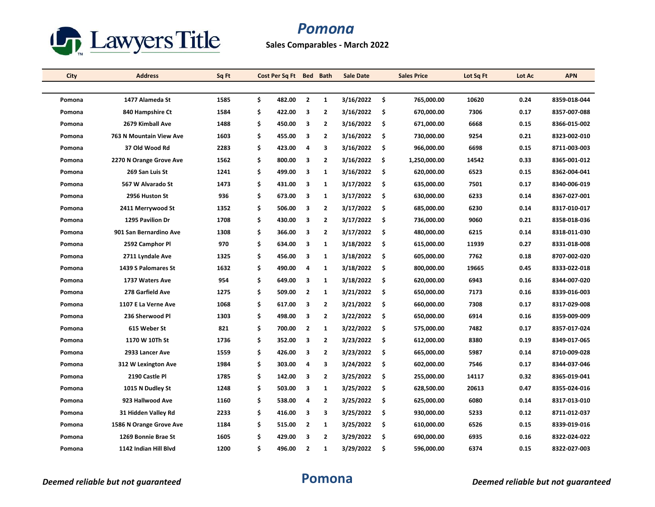

## *Pomona*

### **Sales Comparables - March 2022**

| City   | <b>Address</b>          | Sq Ft | Cost Per Sq Ft Bed Bath |                         |                | <b>Sale Date</b> |     | <b>Sales Price</b> | Lot Sq Ft | Lot Ac | <b>APN</b>   |
|--------|-------------------------|-------|-------------------------|-------------------------|----------------|------------------|-----|--------------------|-----------|--------|--------------|
|        |                         |       |                         |                         |                |                  |     |                    |           |        |              |
| Pomona | 1477 Alameda St         | 1585  | \$<br>482.00            | $\overline{\mathbf{2}}$ | $\mathbf{1}$   | 3/16/2022        | \$  | 765.000.00         | 10620     | 0.24   | 8359-018-044 |
| Pomona | 840 Hampshire Ct        | 1584  | \$<br>422.00            | 3                       | $\overline{2}$ | 3/16/2022        | \$  | 670,000.00         | 7306      | 0.17   | 8357-007-088 |
| Pomona | 2679 Kimball Ave        | 1488  | \$<br>450.00            | 3                       | $\overline{2}$ | 3/16/2022        | \$  | 671,000.00         | 6668      | 0.15   | 8366-015-002 |
| Pomona | 763 N Mountain View Ave | 1603  | \$<br>455.00            | 3                       | $\overline{2}$ | 3/16/2022        | \$  | 730,000.00         | 9254      | 0.21   | 8323-002-010 |
| Pomona | 37 Old Wood Rd          | 2283  | \$<br>423.00            | 4                       | 3              | 3/16/2022        | \$  | 966,000.00         | 6698      | 0.15   | 8711-003-003 |
| Pomona | 2270 N Orange Grove Ave | 1562  | \$<br>800.00            | 3                       | $\overline{2}$ | 3/16/2022        | \$  | 1,250,000.00       | 14542     | 0.33   | 8365-001-012 |
| Pomona | 269 San Luis St         | 1241  | \$<br>499.00            | 3                       | $\mathbf{1}$   | 3/16/2022        | \$  | 620,000.00         | 6523      | 0.15   | 8362-004-041 |
| Pomona | 567 W Alvarado St       | 1473  | \$<br>431.00            | 3                       | $\mathbf{1}$   | 3/17/2022        | \$  | 635,000.00         | 7501      | 0.17   | 8340-006-019 |
| Pomona | 2956 Huston St          | 936   | \$<br>673.00            | 3                       | 1              | 3/17/2022        | \$  | 630,000.00         | 6233      | 0.14   | 8367-027-001 |
| Pomona | 2411 Merrywood St       | 1352  | \$<br>506.00            | 3                       | $\overline{2}$ | 3/17/2022        | \$  | 685,000.00         | 6230      | 0.14   | 8317-010-017 |
| Pomona | 1295 Pavilion Dr        | 1708  | \$<br>430.00            | 3                       | $\overline{2}$ | 3/17/2022        | \$  | 736,000.00         | 9060      | 0.21   | 8358-018-036 |
| Pomona | 901 San Bernardino Ave  | 1308  | \$<br>366.00            | 3                       | $\overline{2}$ | 3/17/2022        | \$  | 480,000.00         | 6215      | 0.14   | 8318-011-030 |
| Pomona | 2592 Camphor Pl         | 970   | \$<br>634.00            | 3                       | $\mathbf{1}$   | 3/18/2022        | \$  | 615,000.00         | 11939     | 0.27   | 8331-018-008 |
| Pomona | 2711 Lyndale Ave        | 1325  | \$<br>456.00            | 3                       | 1              | 3/18/2022        | \$. | 605,000.00         | 7762      | 0.18   | 8707-002-020 |
| Pomona | 1439 S Palomares St     | 1632  | \$<br>490.00            | 4                       | 1              | 3/18/2022        | \$  | 800,000.00         | 19665     | 0.45   | 8333-022-018 |
| Pomona | 1737 Waters Ave         | 954   | \$<br>649.00            | 3                       | 1              | 3/18/2022        | \$  | 620,000.00         | 6943      | 0.16   | 8344-007-020 |
| Pomona | 278 Garfield Ave        | 1275  | \$<br>509.00            | $\overline{2}$          | 1              | 3/21/2022        | \$  | 650,000.00         | 7173      | 0.16   | 8339-016-003 |
| Pomona | 1107 E La Verne Ave     | 1068  | \$<br>617.00            | 3                       | $\overline{2}$ | 3/21/2022        | \$  | 660,000.00         | 7308      | 0.17   | 8317-029-008 |
| Pomona | 236 Sherwood Pl         | 1303  | \$<br>498.00            | 3                       | $\overline{2}$ | 3/22/2022        | \$  | 650,000.00         | 6914      | 0.16   | 8359-009-009 |
| Pomona | 615 Weber St            | 821   | \$<br>700.00            | $\overline{2}$          | $\mathbf{1}$   | 3/22/2022        | \$  | 575,000.00         | 7482      | 0.17   | 8357-017-024 |
| Pomona | 1170 W 10Th St          | 1736  | \$<br>352.00            | 3                       | $\overline{2}$ | 3/23/2022        | \$  | 612,000.00         | 8380      | 0.19   | 8349-017-065 |
| Pomona | 2933 Lancer Ave         | 1559  | \$<br>426.00            | 3                       | $\overline{2}$ | 3/23/2022        | \$  | 665,000.00         | 5987      | 0.14   | 8710 009 028 |
| Pomona | 312 W Lexington Ave     | 1984  | \$<br>303.00            | 4                       | 3              | 3/24/2022        | \$  | 602,000.00         | 7546      | 0.17   | 8344-037-046 |
| Pomona | 2190 Castle Pl          | 1785  | \$<br>142.00            | 3                       | $\overline{2}$ | 3/25/2022        | \$  | 255,000.00         | 14117     | 0.32   | 8365-019-041 |
| Pomona | 1015 N Dudley St        | 1248  | \$<br>503.00            | 3                       | $\mathbf{1}$   | 3/25/2022        | \$  | 628,500.00         | 20613     | 0.47   | 8355-024-016 |
| Pomona | 923 Hallwood Ave        | 1160  | \$<br>538.00            | 4                       | $\overline{2}$ | 3/25/2022        | \$  | 625,000.00         | 6080      | 0.14   | 8317-013-010 |
| Pomona | 31 Hidden Valley Rd     | 2233  | \$<br>416.00            | 3                       | 3              | 3/25/2022        | \$  | 930,000.00         | 5233      | 0.12   | 8711-012-037 |
| Pomona | 1586 N Orange Grove Ave | 1184  | \$<br>515.00            | $\overline{2}$          | 1              | 3/25/2022        | \$  | 610,000.00         | 6526      | 0.15   | 8339-019-016 |
| Pomona | 1269 Bonnie Brae St     | 1605  | \$<br>429.00            | 3                       | $\overline{2}$ | 3/29/2022        | \$  | 690,000.00         | 6935      | 0.16   | 8322-024-022 |
| Pomona | 1142 Indian Hill Blyd   | 1200  | \$<br>496.00            | $\overline{2}$          | 1              | 3/29/2022        | \$  | 596,000.00         | 6374      | 0.15   | 8322-027-003 |